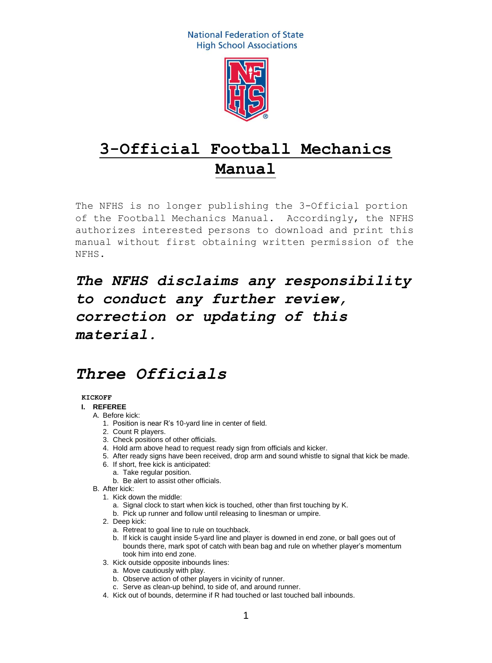

# **3-Official Football Mechanics Manual**

The NFHS is no longer publishing the 3-Official portion of the Football Mechanics Manual. Accordingly, the NFHS authorizes interested persons to download and print this manual without first obtaining written permission of the NFHS.

*The NFHS disclaims any responsibility to conduct any further review, correction or updating of this material.*

# *Three Officials*

#### **KICKOFF**

# **I. REFEREE**

- A. Before kick:
	- 1. Position is near R's 10-yard line in center of field.
	- 2. Count R players.
	- 3. Check positions of other officials.
	- 4. Hold arm above head to request ready sign from officials and kicker.
	- 5. After ready signs have been received, drop arm and sound whistle to signal that kick be made.
	- 6. If short, free kick is anticipated:
		- a. Take regular position.
		- b. Be alert to assist other officials.
- B. After kick:
	- 1. Kick down the middle:
		- a. Signal clock to start when kick is touched, other than first touching by K.
		- b. Pick up runner and follow until releasing to linesman or umpire.
	- 2. Deep kick:
		- a. Retreat to goal line to rule on touchback.
		- b. If kick is caught inside 5-yard line and player is downed in end zone, or ball goes out of bounds there, mark spot of catch with bean bag and rule on whether player's momentum took him into end zone.
	- 3. Kick outside opposite inbounds lines:
		- a. Move cautiously with play.
		- b. Observe action of other players in vicinity of runner.
		- c. Serve as clean-up behind, to side of, and around runner.
	- 4. Kick out of bounds, determine if R had touched or last touched ball inbounds.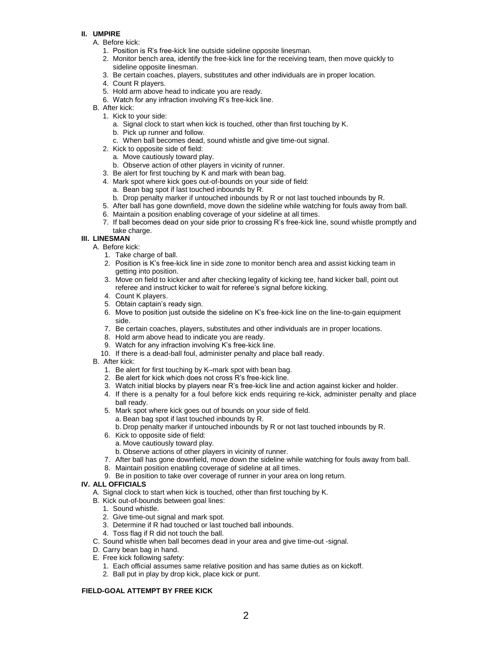- A. Before kick:
	- 1. Position is R's free-kick line outside sideline opposite linesman.
	- 2. Monitor bench area, identify the free-kick line for the receiving team, then move quickly to sideline opposite linesman.
	- 3. Be certain coaches, players, substitutes and other individuals are in proper location.
	- 4. Count R players.
	- 5. Hold arm above head to indicate you are ready.
	- 6. Watch for any infraction involving R's free-kick line.
- B. After kick:
	- 1. Kick to your side:
		- a. Signal clock to start when kick is touched, other than first touching by K.
		- b. Pick up runner and follow.
		- c. When ball becomes dead, sound whistle and give time-out signal.
	- 2. Kick to opposite side of field:
		- a. Move cautiously toward play.
		- b. Observe action of other players in vicinity of runner.
	- 3. Be alert for first touching by K and mark with bean bag.
	- 4. Mark spot where kick goes out-of-bounds on your side of field:
		- a. Bean bag spot if last touched inbounds by R.
		- b. Drop penalty marker if untouched inbounds by R or not last touched inbounds by R.
	- 5. After ball has gone downfield, move down the sideline while watching for fouls away from ball.
	- 6. Maintain a position enabling coverage of your sideline at all times.
	- 7. If ball becomes dead on your side prior to crossing R's free-kick line, sound whistle promptly and take charge.

#### **III. LINESMAN**

- A. Before kick:
	- 1. Take charge of ball.
	- 2. Position is K's free-kick line in side zone to monitor bench area and assist kicking team in getting into position.
	- 3. Move on field to kicker and after checking legality of kicking tee, hand kicker ball, point out referee and instruct kicker to wait for referee's signal before kicking.
	- 4. Count K players.
	- 5. Obtain captain's ready sign.
	- 6. Move to position just outside the sideline on K's free-kick line on the line-to-gain equipment side.
	- 7. Be certain coaches, players, substitutes and other individuals are in proper locations.
	- 8. Hold arm above head to indicate you are ready.
	- 9. Watch for any infraction involving K's free-kick line.
	- 10. If there is a dead-ball foul, administer penalty and place ball ready.
- B. After kick:
	- 1. Be alert for first touching by K–mark spot with bean bag.
	- 2. Be alert for kick which does not cross R's free-kick line.
	- 3. Watch initial blocks by players near R's free-kick line and action against kicker and holder.
	- 4. If there is a penalty for a foul before kick ends requiring re-kick, administer penalty and place ball ready.
	- 5. Mark spot where kick goes out of bounds on your side of field. a. Bean bag spot if last touched inbounds by R.
		- b. Drop penalty marker if untouched inbounds by R or not last touched inbounds by R.
	- 6. Kick to opposite side of field:
		- a. Move cautiously toward play.
		- b. Observe actions of other players in vicinity of runner.
	- 7. After ball has gone downfield, move down the sideline while watching for fouls away from ball.
	- 8. Maintain position enabling coverage of sideline at all times.
	- 9. Be in position to take over coverage of runner in your area on long return.

#### **IV. ALL OFFICIALS**

- A. Signal clock to start when kick is touched, other than first touching by K.
- B. Kick out-of-bounds between goal lines:
	- 1. Sound whistle.
	- 2. Give time-out signal and mark spot.
	- 3. Determine if R had touched or last touched ball inbounds.
	- 4. Toss flag if R did not touch the ball.
- C. Sound whistle when ball becomes dead in your area and give time-out -signal.
- D. Carry bean bag in hand.
- E. Free kick following safety:
	- 1. Each official assumes same relative position and has same duties as on kickoff.
	- 2. Ball put in play by drop kick, place kick or punt.

#### **FIELD-GOAL ATTEMPT BY FREE KICK**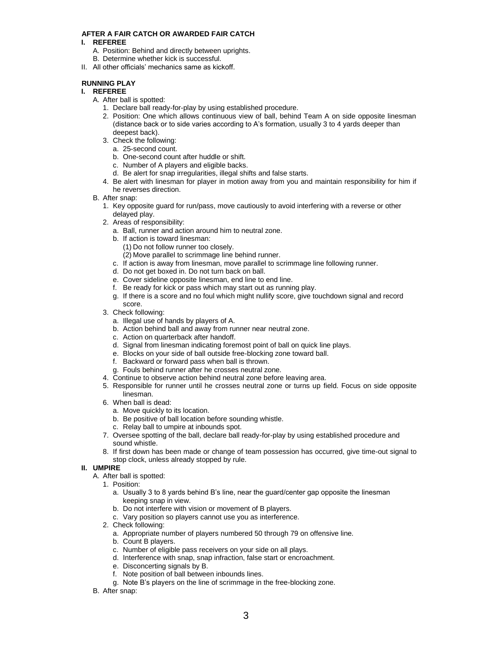#### **AFTER A FAIR CATCH OR AWARDED FAIR CATCH**

#### **I. REFEREE**

- A. Position: Behind and directly between uprights.
- B. Determine whether kick is successful.
- II. All other officials' mechanics same as kickoff.

# **RUNNING PLAY**

# **I. REFEREE**

- A. After ball is spotted:
	- 1. Declare ball ready-for-play by using established procedure.
	- 2. Position: One which allows continuous view of ball, behind Team A on side opposite linesman (distance back or to side varies according to A's formation*,* usually 3 to 4 yards deeper than deepest back).
	- 3. Check the following:
		- a. 25-second count.
		- b. One-second count after huddle or shift.
		- c. Number of A players and eligible backs.
		- d. Be alert for snap irregularities, illegal shifts and false starts.
	- 4. Be alert with linesman for player in motion away from you and maintain responsibility for him if he reverses direction.
- B. After snap:
	- 1. Key opposite guard for run/pass, move cautiously to avoid interfering with a reverse or other delayed play.
	- 2. Areas of responsibility:
		- a. Ball, runner and action around him to neutral zone.
		- b. If action is toward linesman:
			- (1) Do not follow runner too closely.
			- (2) Move parallel to scrimmage line behind runner.
		- c. If action is away from linesman, move parallel to scrimmage line following runner.
		- d. Do not get boxed in. Do not turn back on ball.
		- e. Cover sideline opposite linesman, end line to end line.
		- f. Be ready for kick or pass which may start out as running play.
		- g. If there is a score and no foul which might nullify score, give touchdown signal and record score.
	- 3. Check following:
		- a. Illegal use of hands by players of A.
		- b. Action behind ball and away from runner near neutral zone.
		- c. Action on quarterback after handoff.
		- d. Signal from linesman indicating foremost point of ball on quick line plays.
		- e. Blocks on your side of ball outside free-blocking zone toward ball.
		- f. Backward or forward pass when ball is thrown.
		- g. Fouls behind runner after he crosses neutral zone.
	- 4. Continue to observe action behind neutral zone before leaving area.
	- 5. Responsible for runner until he crosses neutral zone or turns up field. Focus on side opposite linesman.
	- 6. When ball is dead:
		- a. Move quickly to its location.
		- b. Be positive of ball location before sounding whistle.
		- c. Relay ball to umpire at inbounds spot.
	- 7. Oversee spotting of the ball, declare ball ready-for-play by using established procedure and sound whistle.
	- 8. If first down has been made or change of team possession has occurred, give time-out signal to stop clock, unless already stopped by rule.

#### **II. UMPIRE**

- A. After ball is spotted:
	- 1. Position:
		- a. Usually 3 to 8 yards behind B's line, near the guard/center gap opposite the linesman keeping snap in view.
		- b. Do not interfere with vision or movement of B players.
		- c. Vary position so players cannot use you as interference.
	- 2. Check following:
		- a. Appropriate number of players numbered 50 through 79 on offensive line.
		- b. Count B players.
		- c. Number of eligible pass receivers on your side on all plays.
		- d. Interference with snap, snap infraction, false start or encroachment.
		- e. Disconcerting signals by B.
		- f. Note position of ball between inbounds lines.
		- g. Note B's players on the line of scrimmage in the free-blocking zone.
- B. After snap: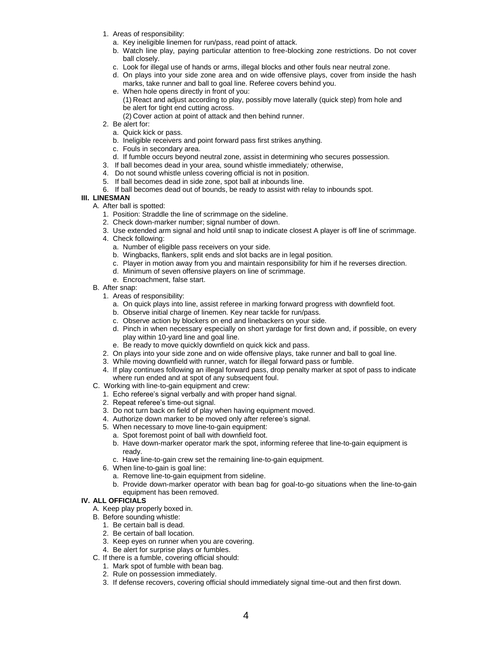- 1. Areas of responsibility:
	- a. Key ineligible linemen for run/pass, read point of attack.
	- b. Watch line play, paying particular attention to free-blocking zone restrictions. Do not cover ball closely.
	- c. Look for illegal use of hands or arms, illegal blocks and other fouls near neutral zone.
	- d. On plays into your side zone area and on wide offensive plays, cover from inside the hash
	- marks, take runner and ball to goal line. Referee covers behind you.
	- e. When hole opens directly in front of you: (1) React and adjust according to play, possibly move laterally (quick step) from hole and be alert for tight end cutting across.
		- (2) Cover action at point of attack and then behind runner.
- 2. Be alert for:
	- a. Quick kick or pass.
	- b. Ineligible receivers and point forward pass first strikes anything.
	- c. Fouls in secondary area.
	- d. If fumble occurs beyond neutral zone, assist in determining who secures possession.
- 3. If ball becomes dead in your area, sound whistle immediately*;* otherwise,
- 4. Do not sound whistle unless covering official is not in position.
- 5. If ball becomes dead in side zone, spot ball at inbounds line.
- 6. If ball becomes dead out of bounds, be ready to assist with relay to inbounds spot.

# **III. LINESMAN**

- A. After ball is spotted:
	- 1. Position: Straddle the line of scrimmage on the sideline.
	- 2. Check down-marker number; signal number of down.
	- 3. Use extended arm signal and hold until snap to indicate closest A player is off line of scrimmage.
	- 4. Check following:
		- a. Number of eligible pass receivers on your side.
		- b. Wingbacks, flankers, split ends and slot backs are in legal position.
		- c. Player in motion away from you and maintain responsibility for him if he reverses direction.
		- d. Minimum of seven offensive players on line of scrimmage.
		- e. Encroachment, false start.
- B. After snap:
	- 1. Areas of responsibility:
		- a. On quick plays into line, assist referee in marking forward progress with downfield foot.
		- b. Observe initial charge of linemen. Key near tackle for run/pass.
		- c. Observe action by blockers on end and linebackers on your side.
		- d. Pinch in when necessary especially on short yardage for first down and, if possible, on every play within 10-yard line and goal line.
		- e. Be ready to move quickly downfield on quick kick and pass.
	- 2. On plays into your side zone and on wide offensive plays, take runner and ball to goal line.
	- 3. While moving downfield with runner, watch for illegal forward pass or fumble.
	- 4. If play continues following an illegal forward pass, drop penalty marker at spot of pass to indicate where run ended and at spot of any subsequent foul.
- C. Working with line-to-gain equipment and crew:
	- 1. Echo referee's signal verbally and with proper hand signal.
	- 2. Repeat referee's time-out signal.
	- 3. Do not turn back on field of play when having equipment moved.
	- 4. Authorize down marker to be moved only after referee's signal.
	- 5. When necessary to move line-to-gain equipment:
	- a. Spot foremost point of ball with downfield foot.
		- b. Have down-marker operator mark the spot, informing referee that line-to-gain equipment is ready.
	- c. Have line-to-gain crew set the remaining line-to-gain equipment.
	- 6. When line-to-gain is goal line:
		- a. Remove line-to-gain equipment from sideline.
		- b. Provide down-marker operator with bean bag for goal-to-go situations when the line-to-gain equipment has been removed.

#### **IV. ALL OFFICIALS**

- A. Keep play properly boxed in.
- B. Before sounding whistle:
	- 1. Be certain ball is dead.
	- 2. Be certain of ball location.
	- 3. Keep eyes on runner when you are covering.
	- 4. Be alert for surprise plays or fumbles.
- C. If there is a fumble, covering official should:
	- 1. Mark spot of fumble with bean bag.
	- 2. Rule on possession immediately.
	- 3. If defense recovers, covering official should immediately signal time-out and then first down.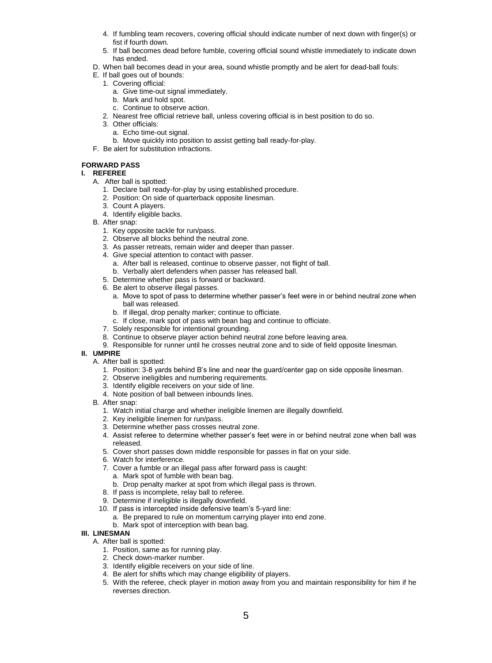- 4. If fumbling team recovers, covering official should indicate number of next down with finger(s) or fist if fourth down.
- 5. If ball becomes dead before fumble, covering official sound whistle immediately to indicate down has ended.
- D. When ball becomes dead in your area, sound whistle promptly and be alert for dead-ball fouls:
- E. If ball goes out of bounds:
	- 1. Covering official:
		- a. Give time-out signal immediately.
		- b. Mark and hold spot.
		- c. Continue to observe action.
	- 2. Nearest free official retrieve ball, unless covering official is in best position to do so.
	- 3. Other officials:
		- a. Echo time-out signal.
		- b. Move quickly into position to assist getting ball ready-for-play.
- F. Be alert for substitution infractions.

### **FORWARD PASS**

#### **I. REFEREE**

- A. After ball is spotted:
	- 1. Declare ball ready-for-play by using established procedure.
	- 2. Position: On side of quarterback opposite linesman.
	- 3. Count A players.
	- 4. Identify eligible backs.
- B. After snap:
	- 1. Key opposite tackle for run/pass.
	- 2. Observe all blocks behind the neutral zone.
	- 3. As passer retreats, remain wider and deeper than passer.
	- 4. Give special attention to contact with passer.
		- a. After ball is released, continue to observe passer, not flight of ball.
		- b. Verbally alert defenders when passer has released ball.
	- 5. Determine whether pass is forward or backward.
	- 6. Be alert to observe illegal passes.
		- a. Move to spot of pass to determine whether passer's feet were in or behind neutral zone when ball was released.
		- b. If illegal, drop penalty marker; continue to officiate.
		- c. If close, mark spot of pass with bean bag and continue to officiate.
	- 7. Solely responsible for intentional grounding.
	- 8. Continue to observe player action behind neutral zone before leaving area.
	- 9. Responsible for runner until he crosses neutral zone and to side of field opposite linesman.

#### **II. UMPIRE**

- A. After ball is spotted:
	- 1. Position: 3-8 yards behind B's line and near the guard/center gap on side opposite linesman.
	- 2. Observe ineligibles and numbering requirements.
	- 3. Identify eligible receivers on your side of line.
	- 4. Note position of ball between inbounds lines.
- B. After snap:
	- 1. Watch initial charge and whether ineligible linemen are illegally downfield.
	- 2. Key ineligible linemen for run/pass.
	- 3. Determine whether pass crosses neutral zone.
	- 4. Assist referee to determine whether passer's feet were in or behind neutral zone when ball was released.
	- 5. Cover short passes down middle responsible for passes in flat on your side.
	- 6. Watch for interference.
	- 7. Cover a fumble or an illegal pass after forward pass is caught: a. Mark spot of fumble with bean bag.
		- b. Drop penalty marker at spot from which illegal pass is thrown.
	- 8. If pass is incomplete, relay ball to referee.
	- 9. Determine if ineligible is illegally downfield.
	- 10. If pass is intercepted inside defensive team's 5-yard line:
		- a. Be prepared to rule on momentum carrying player into end zone. b. Mark spot of interception with bean bag.

#### **III. LINESMAN**

- A. After ball is spotted:
	- 1. Position, same as for running play.
	- 2. Check down-marker number.
	- 3. Identify eligible receivers on your side of line.
	- 4. Be alert for shifts which may change eligibility of players.
	- 5. With the referee, check player in motion away from you and maintain responsibility for him if he reverses direction.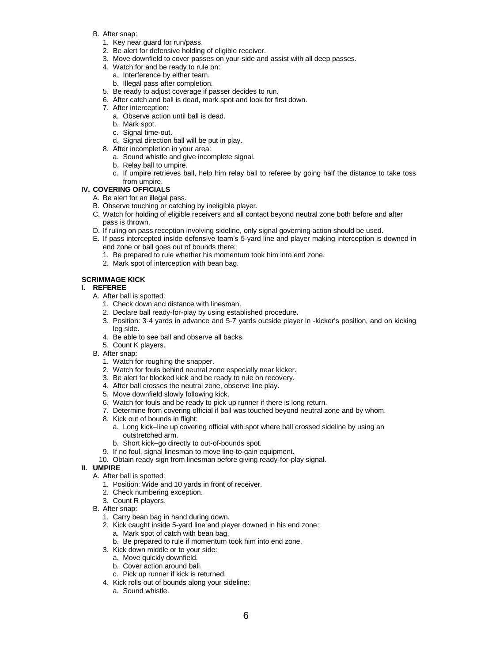- B. After snap:
	- 1. Key near guard for run/pass.
	- 2. Be alert for defensive holding of eligible receiver.
	- 3. Move downfield to cover passes on your side and assist with all deep passes.
	- 4. Watch for and be ready to rule on:
		- a. Interference by either team.
		- b. Illegal pass after completion.
	- 5. Be ready to adjust coverage if passer decides to run.
	- 6. After catch and ball is dead, mark spot and look for first down.
	- 7. After interception:
		- a. Observe action until ball is dead.
		- b. Mark spot.
		- c. Signal time-out.
		- d. Signal direction ball will be put in play.
	- 8. After incompletion in your area:
		- a. Sound whistle and give incomplete signal.
		- b. Relay ball to umpire.
		- c. If umpire retrieves ball, help him relay ball to referee by going half the distance to take toss from umpire.
- **IV. COVERING OFFICIALS**
	- A. Be alert for an illegal pass.
	- B. Observe touching or catching by ineligible player.
	- C. Watch for holding of eligible receivers and all contact beyond neutral zone both before and after pass is thrown.
	- D. If ruling on pass reception involving sideline, only signal governing action should be used.
	- E. If pass intercepted inside defensive team's 5-yard line and player making interception is downed in end zone or ball goes out of bounds there:
		- 1. Be prepared to rule whether his momentum took him into end zone.
		- 2. Mark spot of interception with bean bag.

# **SCRIMMAGE KICK**

#### **I. REFEREE**

- A. After ball is spotted:
	- 1. Check down and distance with linesman.
	- 2. Declare ball ready-for-play by using established procedure.
	- 3. Position: 3-4 yards in advance and 5-7 yards outside player in -kicker's position, and on kicking leg side.
	- 4. Be able to see ball and observe all backs.
	- 5. Count K players.
- B. After snap:
	- 1. Watch for roughing the snapper.
	- 2. Watch for fouls behind neutral zone especially near kicker.
	- 3. Be alert for blocked kick and be ready to rule on recovery.
	- 4. After ball crosses the neutral zone, observe line play.
	- 5. Move downfield slowly following kick.
	- 6. Watch for fouls and be ready to pick up runner if there is long return.
	- 7. Determine from covering official if ball was touched beyond neutral zone and by whom.
	- 8. Kick out of bounds in flight:
		- a. Long kick–line up covering official with spot where ball crossed sideline by using an outstretched arm.
		- b. Short kick–go directly to out-of-bounds spot.
	- 9. If no foul, signal linesman to move line-to-gain equipment.
	- 10. Obtain ready sign from linesman before giving ready-for-play signal.

#### **II. UMPIRE**

- A. After ball is spotted:
	- 1. Position: Wide and 10 yards in front of receiver.
	- 2. Check numbering exception.
	- 3. Count R players.
	- B. After snap:
		- 1. Carry bean bag in hand during down.
		- 2. Kick caught inside 5-yard line and player downed in his end zone: a. Mark spot of catch with bean bag.
			- b. Be prepared to rule if momentum took him into end zone.
		- 3. Kick down middle or to your side:
			- a. Move quickly downfield.
			- b. Cover action around ball.
			- c. Pick up runner if kick is returned.
		- 4. Kick rolls out of bounds along your sideline:
			- a. Sound whistle.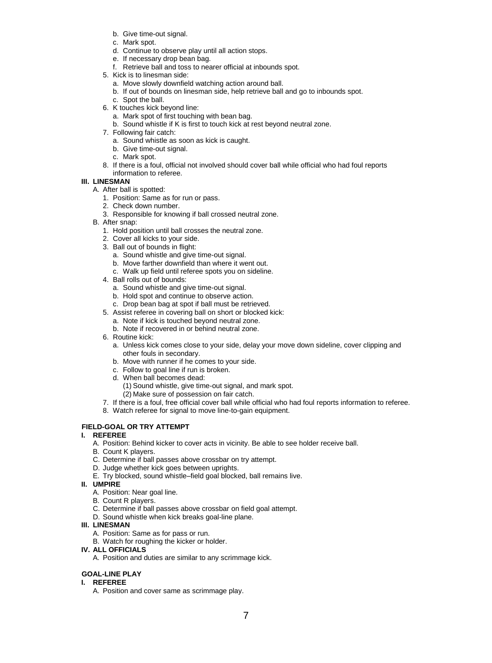- b. Give time-out signal.
- c. Mark spot.
- d. Continue to observe play until all action stops.
- e. If necessary drop bean bag.
- f. Retrieve ball and toss to nearer official at inbounds spot.
- 5. Kick is to linesman side:
	- a. Move slowly downfield watching action around ball.
	- b. If out of bounds on linesman side, help retrieve ball and go to inbounds spot.
	- c. Spot the ball.
- 6. K touches kick beyond line:
	- a. Mark spot of first touching with bean bag.
	- b. Sound whistle if K is first to touch kick at rest beyond neutral zone.
- 7. Following fair catch:
	- a. Sound whistle as soon as kick is caught.
	- b. Give time-out signal.
	- c. Mark spot.
- 8. If there is a foul, official not involved should cover ball while official who had foul reports information to referee.

## **III. LINESMAN**

- A. After ball is spotted:
	- 1. Position: Same as for run or pass.
	- 2. Check down number.
	- 3. Responsible for knowing if ball crossed neutral zone.
- B. After snap:
	- 1. Hold position until ball crosses the neutral zone.
	- 2. Cover all kicks to your side.
	- 3. Ball out of bounds in flight:
		- a. Sound whistle and give time-out signal.
		- b. Move farther downfield than where it went out.
		- c. Walk up field until referee spots you on sideline.
	- 4. Ball rolls out of bounds:
		- a. Sound whistle and give time-out signal.
		- b. Hold spot and continue to observe action.
		- c. Drop bean bag at spot if ball must be retrieved.
	- 5. Assist referee in covering ball on short or blocked kick:
		- a. Note if kick is touched beyond neutral zone.
		- b. Note if recovered in or behind neutral zone.
	- 6. Routine kick:
		- a. Unless kick comes close to your side, delay your move down sideline, cover clipping and other fouls in secondary.
		- b. Move with runner if he comes to your side.
		- c. Follow to goal line if run is broken.
		- d. When ball becomes dead:
			- (1) Sound whistle, give time-out signal, and mark spot.
			- (2) Make sure of possession on fair catch.
	- 7. If there is a foul, free official cover ball while official who had foul reports information to referee.
	- 8. Watch referee for signal to move line-to-gain equipment.

# **FIELD-GOAL OR TRY ATTEMPT**

#### **I. REFEREE**

- A. Position: Behind kicker to cover acts in vicinity. Be able to see holder receive ball.
- B. Count K players.
- C. Determine if ball passes above crossbar on try attempt.
- D. Judge whether kick goes between uprights.
- E. Try blocked, sound whistle–field goal blocked, ball remains live.

#### **II. UMPIRE**

- A. Position: Near goal line.
- B. Count R players.
- C. Determine if ball passes above crossbar on field goal attempt.
- D. Sound whistle when kick breaks goal-line plane.

#### **III. LINESMAN**

- A. Position: Same as for pass or run.
- B. Watch for roughing the kicker or holder.
- **IV. ALL OFFICIALS**
	- A. Position and duties are similar to any scrimmage kick.

# **GOAL-LINE PLAY**

#### **I. REFEREE**

A. Position and cover same as scrimmage play.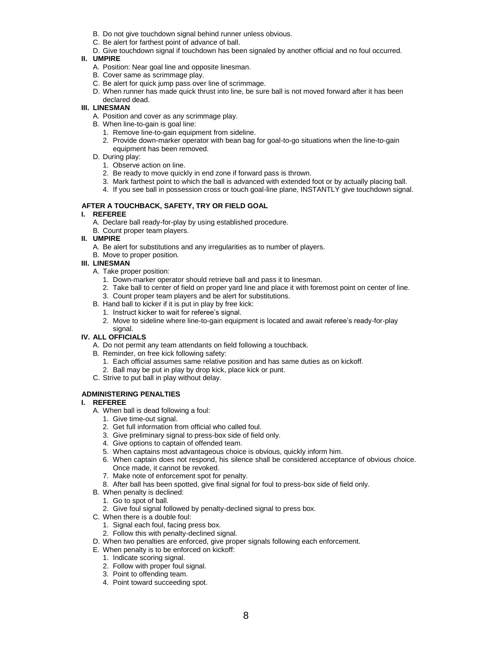- B. Do not give touchdown signal behind runner unless obvious.
- C. Be alert for farthest point of advance of ball.
- D. Give touchdown signal if touchdown has been signaled by another official and no foul occurred.

- A. Position: Near goal line and opposite linesman.
- B. Cover same as scrimmage play.
- C. Be alert for quick jump pass over line of scrimmage.
- D. When runner has made quick thrust into line, be sure ball is not moved forward after it has been declared dead.

# **III. LINESMAN**

- A. Position and cover as any scrimmage play.
- B. When line-to-gain is goal line:
	- 1. Remove line-to-gain equipment from sideline.
	- 2. Provide down-marker operator with bean bag for goal-to-go situations when the line-to-gain equipment has been removed.
- D. During play:
	- 1. Observe action on line.
	- 2. Be ready to move quickly in end zone if forward pass is thrown.
	- 3. Mark farthest point to which the ball is advanced with extended foot or by actually placing ball.
	- 4. If you see ball in possession cross or touch goal-line plane, INSTANTLY give touchdown signal.

# **AFTER A TOUCHBACK, SAFETY, TRY OR FIELD GOAL**

- **I. REFEREE**
	- A. Declare ball ready-for-play by using established procedure.
	- B. Count proper team players.
- **II. UMPIRE**
	- A. Be alert for substitutions and any irregularities as to number of players.
	- B. Move to proper position.

#### **III. LINESMAN**

- A. Take proper position:
	- 1. Down-marker operator should retrieve ball and pass it to linesman.
	- 2. Take ball to center of field on proper yard line and place it with foremost point on center of line.
	- 3. Count proper team players and be alert for substitutions.
- B. Hand ball to kicker if it is put in play by free kick:
	- 1. Instruct kicker to wait for referee's signal.
	- 2. Move to sideline where line-to-gain equipment is located and await referee's ready-for-play

#### signal. **IV. ALL OFFICIALS**

- A. Do not permit any team attendants on field following a touchback.
- B. Reminder, on free kick following safety:
	- 1. Each official assumes same relative position and has same duties as on kickoff.
	- 2. Ball may be put in play by drop kick, place kick or punt.
- C. Strive to put ball in play without delay.

#### **ADMINISTERING PENALTIES**

#### **I. REFEREE**

- A. When ball is dead following a foul:
	- 1. Give time-out signal.
	- 2. Get full information from official who called foul.
	- 3. Give preliminary signal to press-box side of field only.
	- 4. Give options to captain of offended team.
	- 5. When captains most advantageous choice is obvious, quickly inform him.
	- 6. When captain does not respond, his silence shall be considered acceptance of obvious choice. Once made, it cannot be revoked.
	- 7. Make note of enforcement spot for penalty.
	- 8. After ball has been spotted, give final signal for foul to press-box side of field only.
- B. When penalty is declined:
	- 1. Go to spot of ball.
	- 2. Give foul signal followed by penalty-declined signal to press box.
- C. When there is a double foul:
	- 1. Signal each foul, facing press box.
	- 2. Follow this with penalty-declined signal.
- D. When two penalties are enforced, give proper signals following each enforcement.
- E. When penalty is to be enforced on kickoff:
	- 1. Indicate scoring signal.
	- 2. Follow with proper foul signal.
	- 3. Point to offending team.
	- 4. Point toward succeeding spot.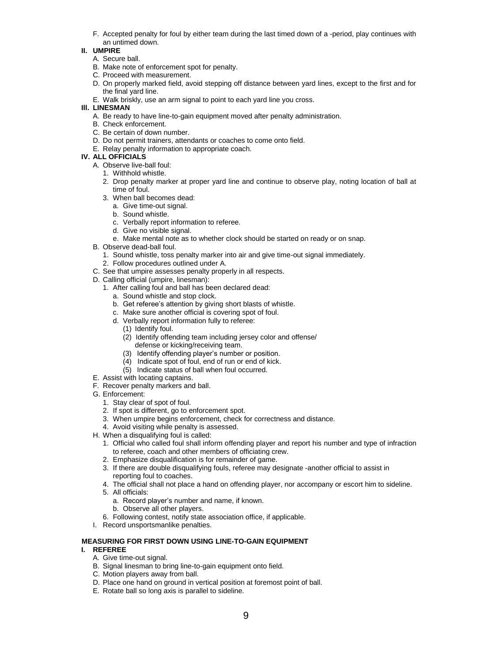F. Accepted penalty for foul by either team during the last timed down of a -period, play continues with an untimed down.

#### **II. UMPIRE**

- A. Secure ball.
- B. Make note of enforcement spot for penalty.
- C. Proceed with measurement.
- D. On properly marked field, avoid stepping off distance between yard lines, except to the first and for the final yard line.
- E. Walk briskly, use an arm signal to point to each yard line you cross.

#### **Ill. LINESMAN**

- A. Be ready to have line-to-gain equipment moved after penalty administration.
- B. Check enforcement.
- C. Be certain of down number.
- D. Do not permit trainers, attendants or coaches to come onto field.
- E. Relay penalty information to appropriate coach.

# **IV. ALL OFFICIALS**

- A. Observe live-ball foul:
	- 1. Withhold whistle.
	- 2. Drop penalty marker at proper yard line and continue to observe play, noting location of ball at time of foul.
	- 3. When ball becomes dead:
		- a. Give time-out signal.
		- b. Sound whistle.
		- c. Verbally report information to referee.
		- d. Give no visible signal.
		- e. Make mental note as to whether clock should be started on ready or on snap.
- B. Observe dead-ball foul.
	- 1. Sound whistle, toss penalty marker into air and give time-out signal immediately.
- 2. Follow procedures outlined under A.
- C. See that umpire assesses penalty properly in all respects.
- D. Calling official (umpire, linesman):
	- 1. After calling foul and ball has been declared dead:
		- a. Sound whistle and stop clock.
		- b. Get referee's attention by giving short blasts of whistle.
		- c. Make sure another official is covering spot of foul.
		- d. Verbally report information fully to referee:
			- (1) Identify foul.
			- (2) Identify offending team including jersey color and offense/ defense or kicking/receiving team.
			- (3) Identify offending player's number or position.
			- (4) Indicate spot of foul, end of run or end of kick.
			- (5) Indicate status of ball when foul occurred.
- E. Assist with locating captains.
- F. Recover penalty markers and ball.
- G. Enforcement:
	- 1. Stay clear of spot of foul.
	- 2. If spot is different, go to enforcement spot.
	- 3. When umpire begins enforcement, check for correctness and distance.
	- 4. Avoid visiting while penalty is assessed.
- H. When a disqualifying foul is called:
	- 1. Official who called foul shall inform offending player and report his number and type of infraction to referee, coach and other members of officiating crew.
	- 2. Emphasize disqualification is for remainder of game.
	- 3. If there are double disqualifying fouls, referee may designate -another official to assist in reporting foul to coaches.
	- 4. The official shall not place a hand on offending player, nor accompany or escort him to sideline.
	- 5. All officials:
		- a. Record player's number and name, if known.
		- b. Observe all other players.
	- 6. Following contest, notify state association office, if applicable.
- I. Record unsportsmanlike penalties.

#### **MEASURING FOR FIRST DOWN USING LINE-TO-GAIN EQUIPMENT I. REFEREE**

- A. Give time-out signal.
- B. Signal linesman to bring line-to-gain equipment onto field.
- C. Motion players away from ball.
- D. Place one hand on ground in vertical position at foremost point of ball.
- E. Rotate ball so long axis is parallel to sideline.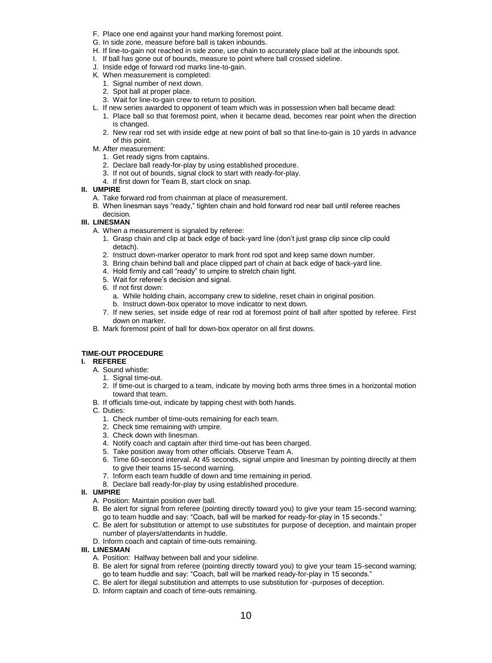- F. Place one end against your hand marking foremost point.
- G. In side zone, measure before ball is taken inbounds.
- H. If line-to-gain not reached in side zone, use chain to accurately place ball at the inbounds spot.
- I. If ball has gone out of bounds, measure to point where ball crossed sideline.
- J. Inside edge of forward rod marks line-to-gain.
- K. When measurement is completed:
	- 1. Signal number of next down.
	- 2. Spot ball at proper place.
	- 3. Wait for line-to-gain crew to return to position.
- L. If new series awarded to opponent of team which was in possession when ball became dead:
	- 1. Place ball so that foremost point, when it became dead, becomes rear point when the direction is changed.
	- 2. New rear rod set with inside edge at new point of ball so that line-to-gain is 10 yards in advance of this point.
- M. After measurement:
	- 1. Get ready signs from captains.
	- 2. Declare ball ready-for-play by using established procedure.
	- 3. If not out of bounds, signal clock to start with ready-for-play.
	- 4. If first down for Team B, start clock on snap.

- A. Take forward rod from chainman at place of measurement.
- B. When linesman says "ready," tighten chain and hold forward rod near ball until referee reaches decision.

#### **III. LINESMAN**

- A. When a measurement is signaled by referee:
	- 1. Grasp chain and clip at back edge of back-yard line (don't just grasp clip since clip could detach).
	- 2. Instruct down-marker operator to mark front rod spot and keep same down number.
	- 3. Bring chain behind ball and place clipped part of chain at back edge of back-yard line.
	- 4. Hold firmly and call "ready" to umpire to stretch chain tight.
	- 5. Wait for referee's decision and signal.
	- 6. If not first down:
		- a. While holding chain, accompany crew to sideline, reset chain in original position. b. Instruct down-box operator to move indicator to next down.
	- 7. If new series, set inside edge of rear rod at foremost point of ball after spotted by referee. First down on marker.
- B. Mark foremost point of ball for down-box operator on all first downs.

# **TIME-OUT PROCEDURE**

#### **I. REFEREE**

- A. Sound whistle:
	- 1. Signal time-out.
	- 2. If time-out is charged to a team, indicate by moving both arms three times in a horizontal motion toward that team.
- B. If officials time-out, indicate by tapping chest with both hands.
- C. Duties:
	- 1. Check number of time-outs remaining for each team.
	- 2. Check time remaining with umpire.
	- 3. Check down with linesman.
	- 4. Notify coach and captain after third time-out has been charged.
	- 5. Take position away from other officials. Observe Team A.
	- 6. Time 60-second interval. At 45 seconds, signal umpire and linesman by pointing directly at them to give their teams 15-second warning.
	- 7. Inform each team huddle of down and time remaining in period.
	- 8. Declare ball ready-for-play by using established procedure.

#### **II. UMPIRE**

- A. Position: Maintain position over ball.
- B. Be alert for signal from referee (pointing directly toward you) to give your team 15-second warning; go to team huddle and say: "Coach, ball will be marked for ready-for-play in 15 seconds."
- C. Be alert for substitution or attempt to use substitutes for purpose of deception, and maintain proper number of players/attendants in huddle.
- D. Inform coach and captain of time-outs remaining.

# **III. LINESMAN**

- A. Position: Halfway between ball and your sideline.
- B. Be alert for signal from referee (pointing directly toward you) to give your team 15-second warning; go to team huddle and say: "Coach, ball will be marked ready-for-play in 15 seconds."
- C. Be alert for illegal substitution and attempts to use substitution for -purposes of deception.
- D. Inform captain and coach of time-outs remaining.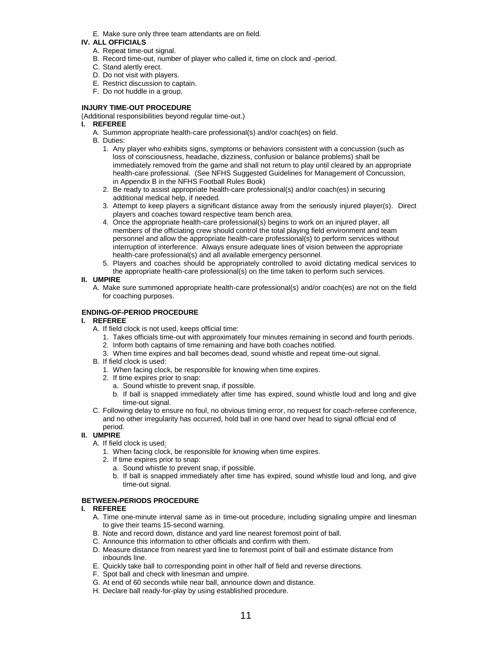E. Make sure only three team attendants are on field.

# **IV. ALL OFFICIALS**

- A. Repeat time-out signal.
- B. Record time-out, number of player who called it, time on clock and -period.
- C. Stand alertly erect.
- D. Do not visit with players.
- E. Restrict discussion to captain.
- F. Do not huddle in a group.

#### **INJURY TIME-OUT PROCEDURE**

(Additional responsibilities beyond regular time-out.)

#### **I. REFEREE**

- A. Summon appropriate health-care professional(s) and/or coach(es) on field.
- B. Duties:
	- 1. Any player who exhibits signs, symptoms or behaviors consistent with a concussion (such as loss of consciousness, headache, dizziness, confusion or balance problems) shall be immediately removed from the game and shall not return to play until cleared by an appropriate health-care professional. (See NFHS Suggested Guidelines for Management of Concussion, in Appendix B in the NFHS Football Rules Book)
	- 2. Be ready to assist appropriate health-care professional(s) and/or coach(es) in securing additional medical help, if needed.
	- 3. Attempt to keep players a significant distance away from the seriously injured player(s). Direct players and coaches toward respective team bench area.
	- 4. Once the appropriate health-care professional(s) begins to work on an injured player, all members of the officiating crew should control the total playing field environment and team personnel and allow the appropriate health-care professional(s) to perform services without interruption of interference. Always ensure adequate lines of vision between the appropriate health-care professional(s) and all available emergency personnel.
	- 5. Players and coaches should be appropriately controlled to avoid dictating medical services to the appropriate health-care professional(s) on the time taken to perform such services.
- **II. UMPIRE**
	- A. Make sure summoned appropriate health-care professional(s) and/or coach(es) are not on the field for coaching purposes.

#### **ENDING-OF-PERIOD PROCEDURE**

#### **I. REFEREE**

- A. If field clock is not used, keeps official time:
	- 1. Takes officials time-out with approximately four minutes remaining in second and fourth periods.
	- 2. Inform both captains of time remaining and have both coaches notified.
	- 3. When time expires and ball becomes dead, sound whistle and repeat time-out signal.
- B. If field clock is used:
	- 1. When facing clock, be responsible for knowing when time expires.
	- 2. If time expires prior to snap:
		- a. Sound whistle to prevent snap, if possible.
		- b. If ball is snapped immediately after time has expired, sound whistle loud and long and give time-out signal.
- C. Following delay to ensure no foul, no obvious timing error, no request for coach-referee conference, and no other irregularity has occurred, hold ball in one hand over head to signal official end of period.

### **II. UMPIRE**

- A. If field clock is used*:*
	- 1. When facing clock, be responsible for knowing when time expires.
	- 2. If time expires prior to snap:
		- a. Sound whistle to prevent snap, if possible.
		- b. If ball is snapped immediately after time has expired, sound whistle loud and long, and give time-out signal.

#### **BETWEEN-PERIODS PROCEDURE**

#### **I. REFEREE**

- A. Time one-minute interval same as in time-out procedure, including signaling umpire and linesman to give their teams 15-second warning.
- B. Note and record down, distance and yard line nearest foremost point of ball.
- C. Announce this information to other officials and confirm with them.
- D. Measure distance from nearest yard line to foremost point of ball and estimate distance from inbounds line.
- E. Quickly take ball to corresponding point in other half of field and reverse directions.
- F. Spot ball and check with linesman and umpire.
- G. At end of 60 seconds while near ball, announce down and distance.
- H. Declare ball ready-for-play by using established procedure.